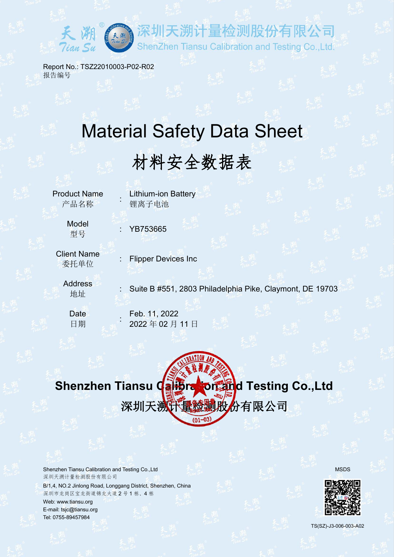

Report No.: TSZ22010003-P02-R02 报告编号

# Material Safety Data Sheet

# 材料安全数据表

**Product Name Contribution Battery Contribution Contribution Contribution Contribution** 产品名称 : 锂离子电池

Model

型号 : YB753665

Client Name 委托单位

**Flipper Devices Inc** 

**Address** 

editions of the Suite B #551, 2803 Philadelphia Pike, Claymont, DE 19703 and Suite of the Suite of the Suite o<br>地址

计量检测股份有限公司

ShenZhen Tiansu Calibration and Testing Co., Ltd.

**Date Feb. 11, 2022 Feb. 11, 2022** 日期 : 2022 年 02 月 11 日

# **Shenzhen Tiansu Calibration and Testing Co.,Ltd** 深圳天溯兴量检测股份有限公司

Shenzhen Tiansu Calibration and Testing Co.,Ltd MSDS Network and Testing Co.,Ltd MSDS 深圳天溯计量检测股份有限公司

B/1,4, NO.2 Jinlong Road, Longgang District, Shenzhen, China 深圳市龙岗区宝龙街道锦龙大道 2 号 1 栋、4 栋 Web: [www.tiansu.org](http://www.tiansu.org) E-mail: tsjc@tiansu.org Tel: 0755-89457984





TS(SZ)-J3-006-003-A02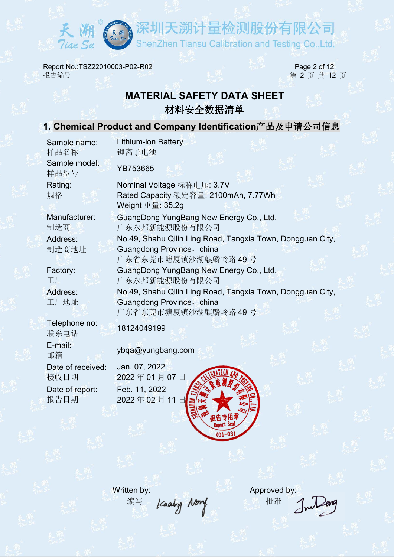

深圳天溯计量检测股份有限公司 ShenZhen Tiansu Calibration and Testing Co., Ltd.

Report No.:TSZ22010003-P02-R02 Page 2 of 12 报告编号 第 2 页 共 12 页

# **MATERIAL SAFETY DATA SHEET** 材料安全数据清单

# **1. Chemical Product and Company Identification**产品及申请公司信息

Lithium-ion Battery

YB753665

Sample name: 样品名称 锂离子电池 Sample model: 样品型号

Rating:

Manufacturer:

Address:

Factory:

Address:

Telephone no: 联系电话 E-mail:

Date of received: Date of report:

规格 Rated Capacity 额定容量: 2100mAh, 7.77Wh Nominal Voltage 标称电压: 3.7V Weight 重量: 35.2g 制造商 广东永邦新能源股份有限公司 GuangDong YungBang New Energy Co., Ltd. 制造商地址 **Guangdong Province,china** The Control of The Control of The Control of The Control of The Co No.49, Shahu Qilin Ling Road, Tangxia Town, Dongguan City, 广东省东莞市塘厦镇沙湖麒麟岭路 49 号 工厂 广东永邦新能源股份有限公司 GuangDong YungBang New Energy Co., Ltd. 工厂地址 Guangdong Province,china No.49, Shahu Qilin Ling Road, Tangxia Town, Dongguan City, 广东省东莞市塘厦镇沙湖麒麟岭路 49 号

18124049199

邮箱 ybqa@yungbang.com

Jan. 07, 2022 Feb. 11, 2022



编写 /caaby Nory 批准

Written by: **Approved by:** Approved by: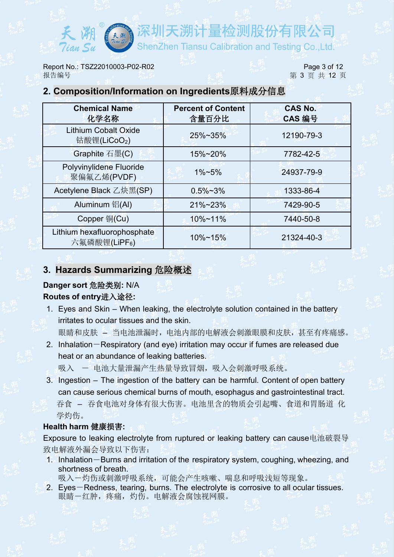Report No.: TSZ22010003-P02-R02 Page 3 of 12 报告编号 2010年 12 页 第 3 页 共 12 页 また 12 页 また 12 页 また 12 页 また 12 页 また 12 页 また 12 页 また 12 页 また 12 页 また 12 页 また 12 页 また 12 页 また 12 页 また 12 页 また 12 页 また 12 页 また 12 页 また 12 页 また 12 页 また 12 页 また 12 页 また 12 页 また 12 页 また 12 页 また 12 页 ま

## **2. Composition/Information on Ingredients**原料成分信息

| <b>Chemical Name</b><br>化学名称                             | <b>Percent of Content</b><br>含量百分比 | <b>CAS No.</b><br>CAS 编号 |
|----------------------------------------------------------|------------------------------------|--------------------------|
| <b>Lithium Cobalt Oxide</b><br>钴酸锂(LiCoO <sub>2</sub> )  | 25%~35%                            | 12190-79-3               |
| Graphite 石墨(C)                                           | 15%~20%                            | 7782-42-5                |
| Polyvinylidene Fluoride<br>聚偏氟乙烯(PVDF)                   | $1\% - 5\%$                        | 24937-79-9               |
| Acetylene Black 乙炔黑(SP)                                  | $0.5\% \sim 3\%$                   | 1333-86-4                |
| Aluminum 铝(Al)                                           | 21%~23%                            | 7429-90-5                |
| Copper 铜(Cu)                                             | 10%~11%                            | 7440-50-8                |
| Lithium hexafluorophosphate<br>六氟磷酸锂(LiPF <sub>6</sub> ) | 10%~15%                            | 21324-40-3               |

## **3. Hazards Summarizing** 危险概述

# **Danger sort** 危险类别**:** N/A

#### **Routes of entry**进入途径**:**

1. Eyes and Skin – When leaking, the electrolyte solution contained in the battery irritates to ocular tissues and the skin.

眼睛和皮肤 – 当电池泄漏时, 电池内部的电解液会刺激眼膜和皮肤, 甚至有疼痛感。

- 2. Inhalation-Respiratory (and eye) irritation may occur if fumes are released due heat or an abundance of leaking batteries.
	- 吸入 一 电池大量泄漏产生热量导致冒烟,吸入会刺激呼吸系统。
- 3. Ingestion The ingestion of the battery can be harmful. Content of open battery can cause serious chemical burns of mouth, esophagus and gastrointestinal tract. 吞食 – 吞食电池对身体有很大伤害。电池里含的物质会引起嘴、食道和胃肠道 化 学灼伤。

# **Health harm** 健康损害**:**

Exposure to leaking electrolyte from ruptured or leaking battery can cause电池破裂导 致电解液外漏会导致以下伤害:

1. Inhalation-Burns and irritation of the respiratory system, coughing, wheezing, and shortness of breath.

吸入-灼伤或刺激呼吸系统,可能会产生咳嗽、喘息和呼吸浅短等现象。

2. Eyes-Redness, tearing, burns. The electrolyte is corrosive to all ocular tissues. 眼睛一红肿,疼痛,灼伤。电解液会腐蚀视网膜。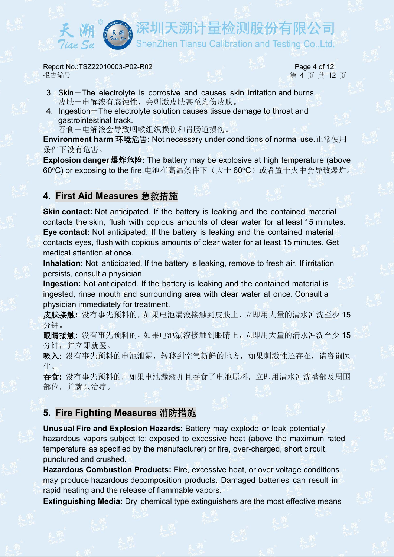溯计量检测股份有限公司

**Report No.:TSZ22010003-P02-R02 Page 4 of 12** 报告编号 第 4 页 共 12 页

- 3. Skin-The electrolyte is corrosive and causes skin irritation and burns. 皮肤-电解液有腐蚀性,会刺激皮肤甚至灼伤皮肤。
- 4. Ingestion-The electrolyte solution causes tissue damage to throat and gastrointestinal track.
	- 吞食-电解液会导致咽喉组织损伤和胃肠道损伤。

**Environment harm** 环境危害**:** Not necessary under conditions of normal use.正常使用 条件下没有危害。

**Explosion danger**爆炸危险**:** The battery may be explosive at high temperature (above 60℃) or exposing to the fire.电池在高温条件下(大于 60℃)或者置于火中会导致爆炸。

#### **4. First Aid Measures** 急救措施

**Skin contact:** Not anticipated. If the battery is leaking and the contained material contacts the skin, flush with copious amounts of clear water for at least 15 minutes. **Eye contact:** Not anticipated. If the battery is leaking and the contained material contacts eyes, flush with copious amounts of clear water for at least 15 minutes. Get medical attention at once.

**Inhalation:** Not anticipated. If the battery is leaking, remove to fresh air. If irritation persists, consult a physician.

**Ingestion:** Not anticipated. If the battery is leaking and the contained material is ingested, rinse mouth and surrounding area with clear water at once. Consult a physician immediately for treatment.

皮肤接触**:** 没有事先预料的,如果电池漏液接触到皮肤上,立即用大量的清水冲洗至少 15 分钟。

眼睛接触**:** 没有事先预料的,如果电池漏液接触到眼睛上,立即用大量的清水冲洗至少 15 分钟,并立即就医。

吸入**:** 没有事先预料的电池泄漏,转移到空气新鲜的地方,如果刺激性还存在,请咨询医 生。

吞食**:** 没有事先预料的,如果电池漏液并且吞食了电池原料,立即用清水冲洗嘴部及周围 部位,并就医治疗。

#### **5. Fire Fighting Measures** 消防措施

**Unusual Fire and Explosion Hazards:** Battery may explode or leak potentially hazardous vapors subject to: exposed to excessive heat (above the maximum rated temperature as specified by the manufacturer) or fire, over-charged, short circuit, punctured and crushed.

**Hazardous Combustion Products:** Fire, excessive heat, or over voltage conditions may produce hazardous decomposition products. Damaged batteries can result in rapid heating and the release of flammable vapors.

**Extinguishing Media:** Dry chemical type extinguishers are the most effective means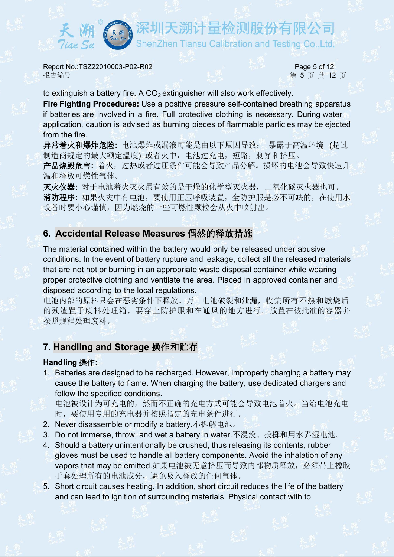溯计量检测股份有限公司 ShenZhen Tiansu Calibration and Testing Co.,Ltd.

Report No.:TSZ22010003-P02-R02 Page 5 of 12 报告编号 第 5 页 共 **12** 页

to extinguish a battery fire. A  $CO<sub>2</sub>$  extinguisher will also work effectively.

**Fire Fighting Procedures:** Use a positive pressure self-contained breathing apparatus if batteries are involved in a fire. Full protective clothing is necessary. During water application, caution is advised as burning pieces of flammable particles may be ejected from the fire.

异常着火和爆炸危险**:** 电池爆炸或漏液可能是由以下原因导致: 暴露于高温环境 (超过 制造商规定的最大额定温度) 或者火中, 电池过充电, 短路, 刺穿和挤压。

产品烧毁危害**:** 着火,过热或者过压条件可能会导致产品分解。损坏的电池会导致快速升 温和释放可燃性气体。

灭火仪器**:** 对于电池着火灭火最有效的是干燥的化学型灭火器,二氧化碳灭火器也可。 消防程序**:** 如果火灾中有电池,要使用正压呼吸装置,全防护服是必不可缺的,在使用水 设备时要小心谨慎,因为燃烧的一些可燃性颗粒会从火中喷射出。

#### **6. Accidental Release Measures** 偶然的释放措施

The material contained within the battery would only be released under abusive conditions. In the event of battery rupture and leakage, collect all the released materials that are not hot or burning in an appropriate waste disposal container while wearing proper protective clothing and ventilate the area. Placed in approved container and disposed according to the local regulations.

电池内部的原料只会在恶劣条件下释放。万一电池破裂和泄漏,收集所有不热和燃烧后 的残渣置于废料处理箱,要穿上防护服和在通风的地方进行。放置在被批准的容器并 按照规程处理废料。

#### **7. Handling and Storage** 操作和贮存

#### **Handling** 操作**:**

1. Batteries are designed to be recharged. However, improperly charging a battery may cause the battery to flame. When charging the battery, use dedicated chargers and follow the specified conditions.

电池被设计为可充电的,然而不正确的充电方式可能会导致电池着火。当给电池充电 时,要使用专用的充电器并按照指定的充电条件进行。

- 2. Never disassemble or modify a battery.不拆解电池。
- 3. Do not immerse, throw, and wet a battery in water.不浸没、投掷和用水弄湿电池。
- 4. Should a battery unintentionally be crushed, thus releasing its contents, rubber gloves must be used to handle all battery components. Avoid the inhalation of any vapors that may be emitted.如果电池被无意挤压而导致内部物质释放, 必须带上橡胶 手套处理所有的电池成分,避免吸入释放的任何气体。
- 5. Short circuit causes heating. In addition, short circuit reduces the life of the battery and can lead to ignition of surrounding materials. Physical contact with to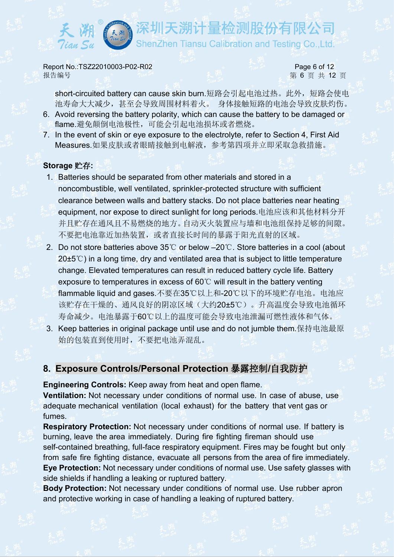E溯计量检测股份有限公司

Report No.:TSZ22010003-P02-R02 Page 6 of 12 报告编号 第 6 页 共 12 页

short-circuited battery can cause skin burn.短路会引起电池过热。此外,短路会使电 池寿命大大减少,甚至会导致周围材料着火。 身体接触短路的电池会导致皮肤灼伤。

- 6. Avoid reversing the battery polarity, which can cause the battery to be damaged or flame.避免颠倒电池极性,可能会引起电池损坏或者燃烧。
- 7. In the event of skin or eye exposure to the electrolyte, refer to Section 4, First Aid Measures.如果皮肤或者眼睛接触到电解液,参考第四项并立即采取急救措施。

#### **Storage** 贮存**:**

- 1. Batteries should be separated from other materials and stored in a noncombustible, well ventilated, sprinkler-protected structure with sufficient clearance between walls and battery stacks. Do not place batteries near heating equipment, nor expose to direct sunlight for long periods.电池应该和其他材料分开 并且贮存在通风且不易燃烧的地方。自动灭火装置应与墙和电池组保持足够的间隙。 不要把电池靠近加热装置,或者直接长时间的暴露于阳光直射的区域。
- 2. Do not store batteries above 35℃ or below –20℃. Store batteries in a cool (about 20±5℃) in a long time, dry and ventilated area that is subject to little temperature change. Elevated temperatures can result in reduced battery cycle life. Battery exposure to temperatures in excess of 60℃ will result in the battery venting flammable liquid and gases.不要在35℃以上和-20℃以下的环境贮存电池。电池应 该贮存在干燥的、通风良好的阴凉区域(大约20±5℃)。升高温度会导致电池循环 寿命减少。电池暴露于60℃以上的温度可能会导致电池泄漏可燃性液体和气体。
- 3. Keep batteries in original package until use and do not jumble them.保持电池最原 始的包装直到使用时,不要把电池弄混乱。

#### **8. Exposure Controls/Personal Protection** 暴露控制**/**自我防护

**Engineering Controls:** Keep away from heat and open flame.

**Ventilation:** Not necessary under conditions of normal use. In case of abuse, use adequate mechanical ventilation (local exhaust) for the battery that ventgas or fumes.

**Respiratory Protection:** Not necessary under conditions of normal use. If battery is burning, leave the area immediately. During fire fighting fireman should use self-contained breathing, full-face respiratory equipment. Fires may be fought but only from safe fire fighting distance, evacuate all persons from the area of fire immediately. **Eye Protection:** Not necessary under conditions of normal use. Use safety glasses with side shields if handling a leaking or ruptured battery.

**Body Protection:** Not necessary under conditions of normal use. Use rubber apron and protective working in case of handling a leaking of ruptured battery.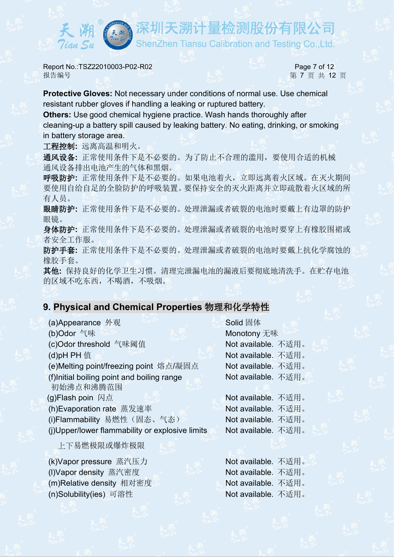深圳天溯计量检测股份有限公司

Report No.:TSZ22010003-P02-R02 Page 7 of 12 报告编号 第 **7** 页 共 **12** 页

Tian Su

**Protective Gloves:** Not necessary under conditions of normal use. Use chemical resistant rubber gloves if handling a leaking or ruptured battery.

**Others:** Use good chemical hygiene practice. Wash hands thoroughly after cleaning-up a battery spill caused by leaking battery. No eating, drinking, or smoking in battery storage area.

工程控制**:** 远离高温和明火。

通风设备**:** 正常使用条件下是不必要的。为了防止不合理的滥用,要使用合适的机械 通风设备排出电池产生的气体和黑烟。

呼吸防护**:** 正常使用条件下是不必要的。如果电池着火,立即远离着火区域。在灭火期间 要使用自给自足的全脸防护的呼吸装置。要保持安全的灭火距离并立即疏散着火区域的所 有人员。

眼睛防护**:** 正常使用条件下是不必要的。处理泄漏或者破裂的电池时要戴上有边罩的防护 眼镜。

身体防护**:** 正常使用条件下是不必要的。处理泄漏或者破裂的电池时要穿上有橡胶围裙或 者安全工作服。

防护手套**:** 正常使用条件下是不必要的。处理泄漏或者破裂的电池时要戴上抗化学腐蚀的 橡胶手套。

其他**:** 保持良好的化学卫生习惯。清理完泄漏电池的漏液后要彻底地清洗手。在贮存电池 的区域不吃东西,不喝酒,不吸烟。

#### **9. Physical and Chemical Properties** 物理和化学特性

(a)Appearance 外观 The Solid 固体 (b)Odor 气味 Monotony 无味 (c)Odor threshold 气味阈值 Not available. 不适用。 (d)pH PH 值 Mote available. 不适用。 (e)Melting point/freezing point 熔点/凝固点 Not available. 不适用。 (f)Initial boiling point and boiling range 初始沸点和沸腾范围 (g)Flash poin 闪点 Not available. 不适用。 (h)Evaporation rate 蒸发速率 Not available. 不适用。 (i)Flammability 易燃性(固态、气态) Not available. 不适用。 (j)Upper/lower flammability or explosive limits

上下易燃极限或爆炸极限

(k)Vapor pressure 蒸汽压力 Not available. 不适用。 (I)Vapor density 蒸汽密度 Not available. 不适用。 (m)Relative density 相对密度 Not available. 不适用。 (n)Solubility(ies) 可溶性 Not available. 不适用。

Not available. 不适用。

Not available. 不适用。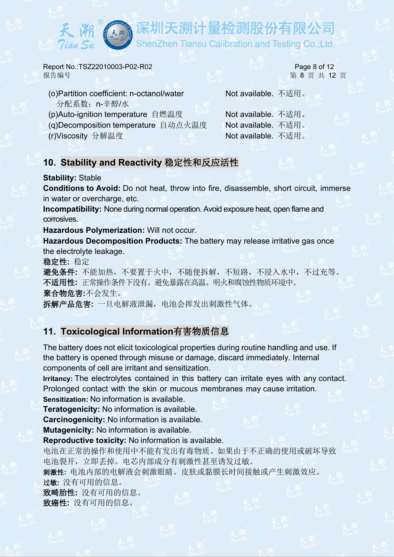深圳天溯计量检测股份有限公司 ShenZhen Tiansu Calibration and Testing Co.,Ltd.

Report No.:TSZ22010003-P02-R02 Page 8 of 12 报告编号 第 8 页 共 12 页

- (o)Partition coefficient: n-octanol/water 分配系数:n-辛醇/水
- (p)Auto-ignition temperature 自燃温度 Not available. 不适用。
- (q)Decomposition temperature 自动点火温度 Not available. 不适用。
- 

Not available. 不适用。

(r)Viscosity 分解温度 Not available. 不适用。

# **10. Stability and Reactivity** 稳定性和反应活性

#### **Stability:** Stable

**Conditions to Avoid:** Do not heat, throw into fire, disassemble, short circuit, immerse in water or overcharge, etc.

**Incompatibility:** None during normal operation. Avoid exposure heat, open flame and corrosives.

**Hazardous Polymerization:** Will not occur.

**Hazardous Decomposition Products:** The battery may release irritative gas once the electrolyte leakage.

稳定性**:** 稳定

避免条件**:** 不能加热,不要置于火中,不随便拆解,不短路,不浸入水中,不过充等。 不适用性**:** 正常操作条件下没有。避免暴露在高温、明火和腐蚀性物质环境中。 聚合物危害**:**不会发生。

拆解产品危害**:** 一旦电解液泄漏,电池会挥发出刺激性气体。

# **11. Toxicological Information**有害物质信息

The battery does not elicit toxicological properties during routine handling and use. If the battery is opened through misuse or damage, discard immediately. Internal components of cell are irritant and sensitization.

**Irritancy:** The electrolytes contained in this battery can irritate eyes with any contact. Prolonged contact with the skin or mucous membranes may cause irritation. **Sensitization:** No information is available.

**Teratogenicity:** No information is available.

**Carcinogenicity:** No information is available.

**Mutagenicity:** No information is available.

**Reproductive toxicity:** No information is available.

电池在正常的操作和使用中不能有发出有毒物质。如果由于不正确的使用或破坏导致 电池裂开,立即丢掉。电芯内部成分有刺激性甚至诱发过敏。

刺激性**:** 电池内部的电解液会刺激眼睛。皮肤或黏膜长时间接触或产生刺激效应。 过敏**:** 没有可用的信息。

致畸胎性**:** 没有可用的信息。

致癌性**:** 没有可用的信息。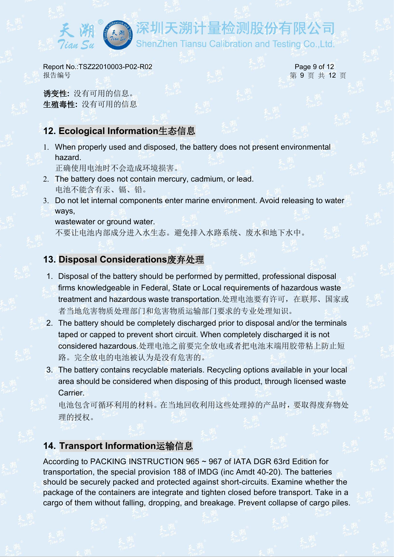F溯计量检测股份有限公司

Report No.:TSZ22010003-P02-R02 Page 9 of 12 报告编号 第 9 页 共 12 页

诱变性**:** 没有可用的信息。 生殖毒性**:** 没有可用的信息

# **12. Ecological Information**生态信息

1. When properly used and disposed, the battery does not present environmental hazard.

正确使用电池时不会造成环境损害。

- 2. The battery does not contain mercury, cadmium, or lead. 电池不能含有汞、镉、铅。
- 3. Do not let internal components enter marine environment. Avoid releasing to water ways,

wastewater or ground water.

不要让电池内部成分进入水生态。避免排入水路系统、废水和地下水中。

# **13. Disposal Considerations**废弃处理

- 1. Disposal of the battery should be performed by permitted, professional disposal firms knowledgeable in Federal, State or Local requirements of hazardous waste treatment and hazardous waste transportation.处理电池要有许可,在联邦、国家或 者当地危害物质处理部门和危害物质运输部门要求的专业处理知识。
- 2. The battery should be completely discharged prior to disposal and/or the terminals taped or capped to prevent short circuit. When completely discharged it is not considered hazardous.处理电池之前要完全放电或者把电池末端用胶带粘上防止短 路。完全放电的电池被认为是没有危害的。
- 3. The battery contains recyclable materials. Recycling options available in your local area should be considered when disposing of this product, through licensed waste Carrier.

电池包含可循环利用的材料。在当地回收利用这些处理掉的产品时,要取得废弃物处 理的授权。

# **14. Transport Information**运输信息

According to PACKING INSTRUCTION 965 ~ 967 of IATA DGR 63rd Edition for transportation, the special provision 188 of IMDG (inc Amdt 40-20). The batteries should be securely packed and protected against short-circuits. Examine whether the package of the containers are integrate and tighten closed before transport. Take in a cargo of them without falling, dropping, and breakage. Prevent collapse of cargo piles.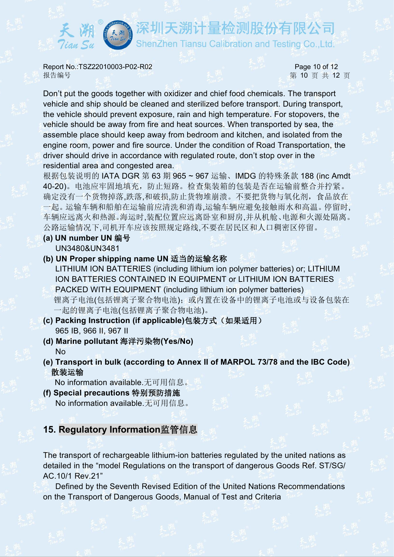**Report No.:TSZ22010003-P02-R02 Page 10 of 12** 报告编号 第 10 页 共 12 页

E溯计量检测股份有限公司

ShenZhen Tiansu Calibration and Testing Co.,Ltd.

Don't put the goods together with oxidizer and chief food chemicals. The transport vehicle and ship should be cleaned and sterilized before transport. During transport, the vehicle should prevent exposure, rain and high temperature. For stopovers, the vehicle should be away from fire and heat sources. When transported by sea, the assemble place should keep away from bedroom and kitchen, and isolated from the engine room, power and fire source. Under the condition of Road Transportation, the driver should drive in accordance with regulated route, don't stop over in the residential area and congested area.

根据包装说明的 IATA DGR 第 63 期 965 ~ 967 运输、IMDG 的特殊条款 188 (inc Amdt 40-20)。电池应牢固地填充,防止短路。检查集装箱的包装是否在运输前整合并拧紧。 确定没有一个货物掉落,跌落,和破损,防止货物堆崩溃。不要把货物与氧化剂,食品放在 一起。运输车辆和船舶在运输前应清洗和消毒,运输车辆应避免接触雨水和高温。停留时, 车辆应远离火和热源。海运时,装配位置应远离卧室和厨房,并从机舱、电源和火源处隔离。 公路运输情况下,司机开车应该按照规定路线,不要在居民区和人口稠密区停留。

- **(a) UN number UN** 编号 UN3480&UN3481
- **(b) UN Proper shipping name UN** 适当的运输名称

LITHIUM IONBATTERIES (including lithium ion polymer batteries) or; LITHIUM ION BATTERIES CONTAINED IN EQUIPMENT or LITHIUM ION BATTERIES PACKED WITH EQUIPMENT (including lithium ion polymer batteries) 锂离子电池(包括锂离子聚合物电池);或内置在设备中的锂离子电池或与设备包装在 一起的锂离子电池(包括锂离子聚合物电池)。

- **(c) Packing Instruction (if applicable)**包装方式(如果适用) 965 IB, 966 II, 967 II
- **(d) Marine pollutant** 海洋污染物**(Yes/No)**  $\mathsf{No}$  and  $\mathsf{No}$
- **(e) Transport in bulk (according to Annex II of MARPOL 73/78 and the IBC Code)** 散装运输

No information available.无可用信息。

**(f) Special precautions** 特别预防措施 No information available.无可用信息。

#### **15. Regulatory Information**监管信息

The transport of rechargeable lithium-ion batteries regulated by the united nations as detailed in the "model Regulations on the transport of dangerous Goods Ref. ST/SG/ AC.10/1 Rev.21"

Defined by the Seventh Revised Edition of the United Nations Recommendations on the Transport of Dangerous Goods, Manual of Test and Criteria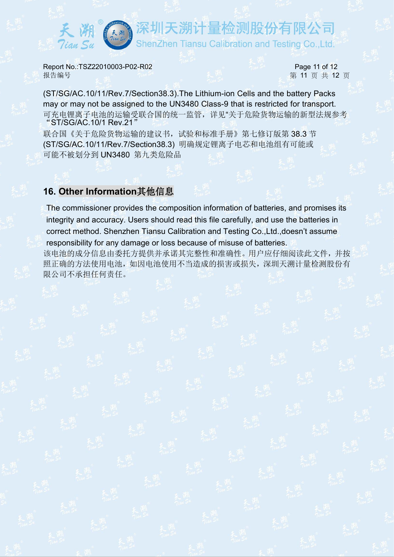深圳天溯计量检测股份有限公司 ShenZhen Tiansu Calibration and Testing Co.,Ltd.

**Report No.:TSZ22010003-P02-R02** Page 11 of 12 报告编号 第 11 页 共 12 页

(ST/SG/AC.10/11/Rev.7/Section38.3).The Lithium-ion Cells and the battery Packs may or may not be assigned to the UN3480 Class-9 that is restricted for transport. 可充电锂离子电池的运输受联合国的统一监管,详见"关于危险货物运输的新型法规参考 "ST/SG/AC.10/1 Rev.21"

联合国《关于危险货物运输的建议书,试验和标准手册》第七修订版第38.3 节 (ST/SG/AC.10/11/Rev.7/Section38.3) 明确规定锂离子电芯和电池组有可能或 可能不被划分到 UN3480 第九类危险品

#### **16. Other Information**其他信息

The commissioner provides the composition information of batteries, and promises its integrity and accuracy. Users should read this file carefully, and use the batteries in correct method. Shenzhen Tiansu Calibration and Testing Co.,Ltd.,doesn't assume responsibility for any damage or loss because of misuse of batteries. 该电池的成分信息由委托方提供并承诺其完整性和准确性。用户应仔细阅读此文件,并按 照正确的方法使用电池,如因电池使用不当造成的损害或损失,深圳天溯计量检测股份有

限公司不承担任何责任。